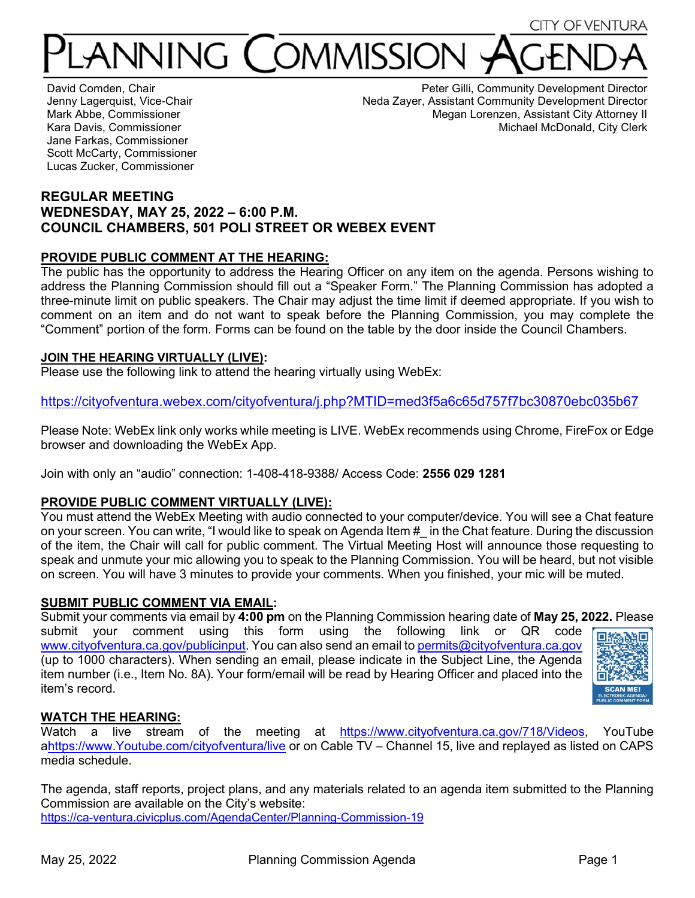# ANNING ( OMMISSION

David Comden, Chair Jenny Lagerquist, Vice-Chair Mark Abbe, Commissioner Kara Davis, Commissioner Jane Farkas, Commissioner Scott McCarty, Commissioner Lucas Zucker, Commissioner

Peter Gilli, Community Development Director Neda Zayer, Assistant Community Development Director Megan Lorenzen, Assistant City Attorney II Michael McDonald, City Clerk

# **REGULAR MEETING WEDNESDAY, MAY 25, 2022 – 6:00 P.M. COUNCIL CHAMBERS, 501 POLI STREET OR WEBEX EVENT**

# **PROVIDE PUBLIC COMMENT AT THE HEARING:**

The public has the opportunity to address the Hearing Officer on any item on the agenda. Persons wishing to address the Planning Commission should fill out a "Speaker Form." The Planning Commission has adopted a three-minute limit on public speakers. The Chair may adjust the time limit if deemed appropriate. If you wish to comment on an item and do not want to speak before the Planning Commission, you may complete the "Comment" portion of the form. Forms can be found on the table by the door inside the Council Chambers.

#### **JOIN THE HEARING VIRTUALLY (LIVE):**

Please use the following link to attend the hearing virtually using WebEx:

<https://cityofventura.webex.com/cityofventura/j.php?MTID=med3f5a6c65d757f7bc30870ebc035b67>

Please Note: WebEx link only works while meeting is LIVE. WebEx recommends using Chrome, FireFox or Edge browser and downloading the WebEx App.

Join with only an "audio" connection: 1-408-418-9388/ Access Code: **2556 029 1281**

# **PROVIDE PUBLIC COMMENT VIRTUALLY (LIVE):**

You must attend the WebEx Meeting with audio connected to your computer/device. You will see a Chat feature on your screen. You can write, "I would like to speak on Agenda Item  $\#$  in the Chat feature. During the discussion of the item, the Chair will call for public comment. The Virtual Meeting Host will announce those requesting to speak and unmute your mic allowing you to speak to the Planning Commission. You will be heard, but not visible on screen. You will have 3 minutes to provide your comments. When you finished, your mic will be muted.

#### **SUBMIT PUBLIC COMMENT VIA EMAIL:**

Submit your comments via email by **4:00 pm** on the Planning Commission hearing date of **May 25, 2022.** Please submit your comment using this form using the following link or QR code [www.cityofventura.ca.gov/publicinput.](http://www.cityofventura.ca.gov/publicinput) You can also send an email to [permits@cityofventura.ca.gov](mailto:permits@cityofventura.ca.gov) (up to 1000 characters). When sending an email, please indicate in the Subject Line, the Agenda item number (i.e., Item No. 8A). Your form/email will be read by Hearing Officer and placed into the item's record.



# **WATCH THE HEARING:**

Watch a live stream of the meeting at [https://www.cityofventura.ca.gov/718/Videos,](https://www.cityofventura.ca.gov/718/Videos) YouTube [ahttps://www.Youtube.com/cityofventura/live](https://www.youtube.com/cityofventura/live) or on Cable TV – Channel 15, live and replayed as listed on CAPS media schedule.

The agenda, staff reports, project plans, and any materials related to an agenda item submitted to the Planning Commission are available on the City's website: <https://ca-ventura.civicplus.com/AgendaCenter/Planning-Commission-19>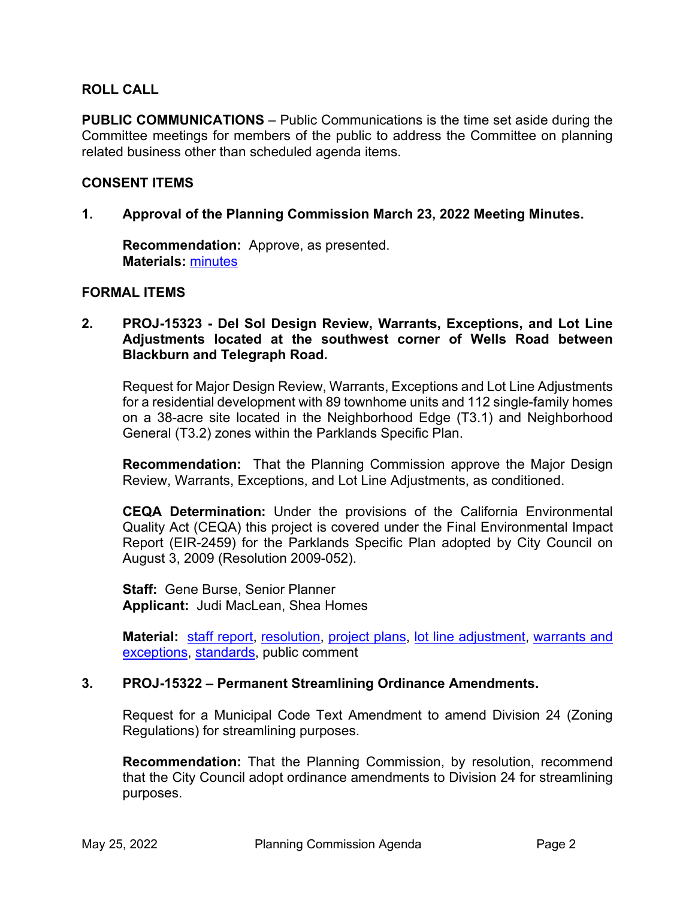#### **ROLL CALL**

**PUBLIC COMMUNICATIONS** – Public Communications is the time set aside during the Committee meetings for members of the public to address the Committee on planning related business other than scheduled agenda items.

#### **CONSENT ITEMS**

**1. Approval of the Planning Commission March 23, 2022 Meeting Minutes.** 

**Recommendation:** Approve, as presented. **Materials:** [minutes](https://www.cityofventura.ca.gov/DocumentCenter/View/31692/PC-Meeting-Minutes-03-23-2022-DRAFT)

#### **FORMAL ITEMS**

**2. PROJ-15323 - Del Sol Design Review, Warrants, Exceptions, and Lot Line Adjustments located at the southwest corner of Wells Road between Blackburn and Telegraph Road.**

Request for Major Design Review, Warrants, Exceptions and Lot Line Adjustments for a residential development with 89 townhome units and 112 single-family homes on a 38-acre site located in the Neighborhood Edge (T3.1) and Neighborhood General (T3.2) zones within the Parklands Specific Plan.

 **Recommendation:** That the Planning Commission approve the Major Design Review, Warrants, Exceptions, and Lot Line Adjustments, as conditioned.

**CEQA Determination:** Under the provisions of the California Environmental Quality Act (CEQA) this project is covered under the Final Environmental Impact Report (EIR-2459) for the Parklands Specific Plan adopted by City Council on August 3, 2009 (Resolution 2009-052).

**Staff:** Gene Burse, Senior Planner **Applicant:** Judi MacLean, Shea Homes

**Material:** [staff report,](https://www.cityofventura.ca.gov/DocumentCenter/View/31699/PROJ-15323_Del-Sol_sr_pc_draft) [resolution,](https://www.cityofventura.ca.gov/DocumentCenter/View/31698/PROJ-15323-Del-Sol_reso) [project plans,](https://www.cityofventura.ca.gov/DocumentCenter/View/31700/Exhibit-A--Project-Plans) [lot line adjustment,](https://www.cityofventura.ca.gov/DocumentCenter/View/31701/Exhibit-B--Lot-Line-Adjustments) [warrants and](https://www.cityofventura.ca.gov/DocumentCenter/View/31696/Exhibit-C--Warrants-and-Exceptions)  [exceptions,](https://www.cityofventura.ca.gov/DocumentCenter/View/31696/Exhibit-C--Warrants-and-Exceptions) [standards,](https://www.cityofventura.ca.gov/DocumentCenter/View/31697/Exhibit-D--Standards) public comment

#### **3. PROJ-15322 – Permanent Streamlining Ordinance Amendments.**

Request for a Municipal Code Text Amendment to amend Division 24 (Zoning Regulations) for streamlining purposes.

 **Recommendation:** That the Planning Commission, by resolution, recommend that the City Council adopt ordinance amendments to Division 24 for streamlining purposes.